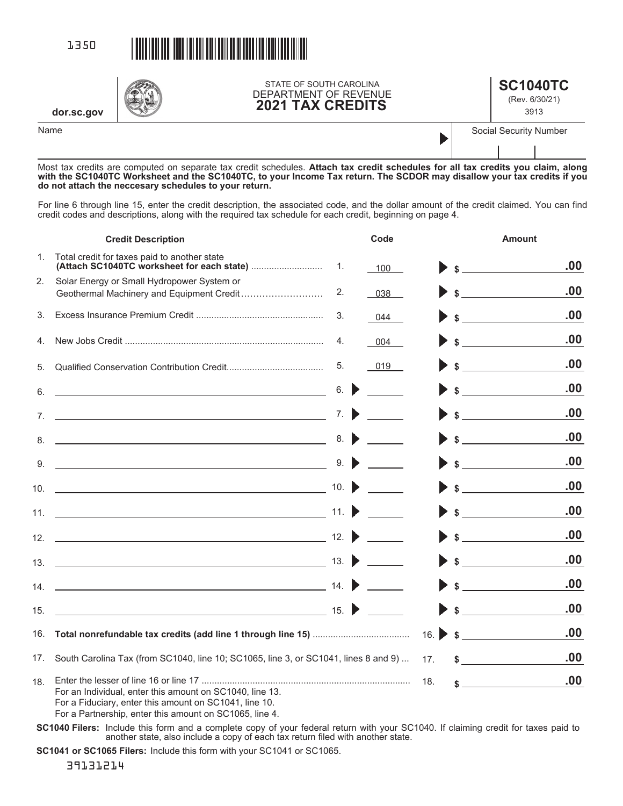

**dor.sc.gov**

STATE OF SOUTH CAROLINA DEPARTMENT OF REVENUE **2021 TAX CREDITS**

| <b>SC1040TC</b> |
|-----------------|
| (Rev. 6/30/21)  |

3913

Name Social Security Number

Most tax credits are computed on separate tax credit schedules. **Attach tax credit schedules for all tax credits you claim, along with the SC1040TC Worksheet and the SC1040TC, to your Income Tax return. The SCDOR may disallow your tax credits if you do not attach the neccesary schedules to your return.** 

For line 6 through line 15, enter the credit description, the associated code, and the dollar amount of the credit claimed. You can find credit codes and descriptions, along with the required tax schedule for each credit, beginning on page 4.

|     | <b>Credit Description</b>                                                                                          |                           | Code |     | <b>Amount</b>                                                                                                                                                                                                                                                                                                                                                                                                               |
|-----|--------------------------------------------------------------------------------------------------------------------|---------------------------|------|-----|-----------------------------------------------------------------------------------------------------------------------------------------------------------------------------------------------------------------------------------------------------------------------------------------------------------------------------------------------------------------------------------------------------------------------------|
| 1.  | Total credit for taxes paid to another state                                                                       | 1.                        | 100  |     | .00<br>$\sim$                                                                                                                                                                                                                                                                                                                                                                                                               |
| 2.  | Solar Energy or Small Hydropower System or                                                                         | 2.                        | 038  |     | $\frac{1}{2}$<br>.00                                                                                                                                                                                                                                                                                                                                                                                                        |
| 3.  |                                                                                                                    | 3.                        | 044  |     | .00<br>$\frac{1}{\sqrt{1-\frac{1}{2}}\sqrt{1-\frac{1}{2}}\sqrt{1-\frac{1}{2}}\sqrt{1-\frac{1}{2}}\sqrt{1-\frac{1}{2}}\sqrt{1-\frac{1}{2}}\sqrt{1-\frac{1}{2}}\sqrt{1-\frac{1}{2}}\sqrt{1-\frac{1}{2}}\sqrt{1-\frac{1}{2}}\sqrt{1-\frac{1}{2}}\sqrt{1-\frac{1}{2}}\sqrt{1-\frac{1}{2}}\sqrt{1-\frac{1}{2}}\sqrt{1-\frac{1}{2}}\sqrt{1-\frac{1}{2}}\sqrt{1-\frac{1}{2}}\sqrt{1-\frac{1}{2}}\sqrt{1-\frac{1}{2}}\sqrt{1-\frac$ |
| 4.  |                                                                                                                    | 4.                        | 004  |     | .00<br>$\frac{1}{\sqrt{2}}$                                                                                                                                                                                                                                                                                                                                                                                                 |
| 5.  |                                                                                                                    | 5.                        | 019  |     | .00<br>$\sim$                                                                                                                                                                                                                                                                                                                                                                                                               |
| 6.  | <u> 1980 - Johann Barn, fransk politik amerikansk politik (</u>                                                    | 6.                        |      |     | .00<br>$\frac{1}{2}$                                                                                                                                                                                                                                                                                                                                                                                                        |
|     | $7.$ $\overline{\phantom{a}}$                                                                                      | 7.                        |      |     | .00<br>$\frac{1}{\sqrt{1-\frac{1}{2}}\sqrt{1-\frac{1}{2}}\sqrt{1-\frac{1}{2}}\sqrt{1-\frac{1}{2}}\sqrt{1-\frac{1}{2}}\sqrt{1-\frac{1}{2}}\sqrt{1-\frac{1}{2}}\sqrt{1-\frac{1}{2}}\sqrt{1-\frac{1}{2}}\sqrt{1-\frac{1}{2}}\sqrt{1-\frac{1}{2}}\sqrt{1-\frac{1}{2}}\sqrt{1-\frac{1}{2}}\sqrt{1-\frac{1}{2}}\sqrt{1-\frac{1}{2}}\sqrt{1-\frac{1}{2}}\sqrt{1-\frac{1}{2}}\sqrt{1-\frac{1}{2}}\sqrt{1-\frac{1}{2}}\sqrt{1-\frac$ |
|     | $8.$ $\overline{\phantom{a}}$                                                                                      | 8.                        |      |     | .00<br>$\sim$                                                                                                                                                                                                                                                                                                                                                                                                               |
| 9.  | <u> 1989 - Johann Stoff, fransk politik (d. 1989)</u>                                                              | 9.                        |      |     | .00<br>$\sim$                                                                                                                                                                                                                                                                                                                                                                                                               |
|     |                                                                                                                    | 10. $\blacktriangleright$ |      |     | .00<br>$\sim$                                                                                                                                                                                                                                                                                                                                                                                                               |
|     |                                                                                                                    | 11. $\blacktriangleright$ |      |     | .00<br>$\frac{1}{2}$                                                                                                                                                                                                                                                                                                                                                                                                        |
|     |                                                                                                                    |                           |      |     | .00<br>$\frac{1}{2}$                                                                                                                                                                                                                                                                                                                                                                                                        |
|     |                                                                                                                    |                           |      |     | .00<br>$\sim$                                                                                                                                                                                                                                                                                                                                                                                                               |
|     |                                                                                                                    |                           |      |     | .00<br>$\frac{1}{2}$                                                                                                                                                                                                                                                                                                                                                                                                        |
| 15. |                                                                                                                    |                           |      |     | .00<br>$\frac{1}{2}$                                                                                                                                                                                                                                                                                                                                                                                                        |
|     |                                                                                                                    |                           |      |     | .00<br>16. $\bullet$ \$                                                                                                                                                                                                                                                                                                                                                                                                     |
| 17. | South Carolina Tax (from SC1040, line 10; SC1065, line 3, or SC1041, lines 8 and 9)                                |                           |      | 17. | .00<br>$\sim$                                                                                                                                                                                                                                                                                                                                                                                                               |
| 18. | For an Individual, enter this amount on SC1040, line 13.<br>For a Fiduciary, enter this amount on SC1041, line 10. |                           |      | 18. | .00                                                                                                                                                                                                                                                                                                                                                                                                                         |

For a Partnership, enter this amount on SC1065, line 4.

**SC1040 Filers:** Include this form and a complete copy of your federal return with your SC1040. If claiming credit for taxes paid to another state, also include a copy of each tax return filed with another state.

SC1041 or SC1065 Filers: Include this form with your SC1041 or SC1065.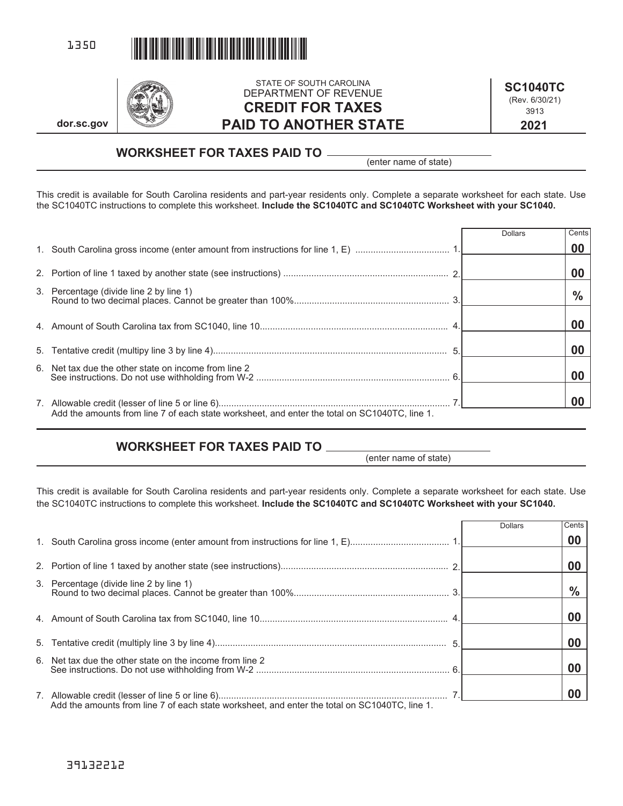



**dor.sc.gov**

### STATE OF SOUTH CAROLINA DEPARTMENT OF REVENUE **CREDIT FOR TAXES PAID TO ANOTHER STATE**

**2021 SC1040TC**  (Rev. 6/30/21) 3913

# **WORKSHEET FOR TAXES PAID TO**

(enter name of state)

This credit is available for South Carolina residents and part-year residents only. Complete a separate worksheet for each state. Use the SC1040TC instructions to complete this worksheet. **Include the SC1040TC and SC1040TC Worksheet with your SC1040.** 

|                                                                                               | <b>Dollars</b> | Cents         |
|-----------------------------------------------------------------------------------------------|----------------|---------------|
|                                                                                               |                | 00            |
|                                                                                               |                |               |
|                                                                                               |                |               |
| 3. Percentage (divide line 2 by line 1)                                                       |                | $\frac{9}{6}$ |
|                                                                                               |                |               |
|                                                                                               |                |               |
|                                                                                               |                |               |
| 6. Net tax due the other state on income from line 2                                          |                |               |
| Add the amounts from line 7 of each state worksheet, and enter the total on SC1040TC, line 1. |                |               |

# **WORKSHEET FOR TAXES PAID TO**

(enter name of state)

This credit is available for South Carolina residents and part-year residents only. Complete a separate worksheet for each state. Use the SC1040TC instructions to complete this worksheet. **Include the SC1040TC and SC1040TC Worksheet with your SC1040.** 

|                                                          | <b>Dollars</b> | Cents         |
|----------------------------------------------------------|----------------|---------------|
|                                                          |                | 00            |
|                                                          |                | 00            |
| 3. Percentage (divide line 2 by line 1)                  |                | $\frac{0}{0}$ |
|                                                          |                | 00            |
|                                                          |                | 00            |
| 6. Net tax due the other state on the income from line 2 |                | 00            |
|                                                          |                | 00            |

39132212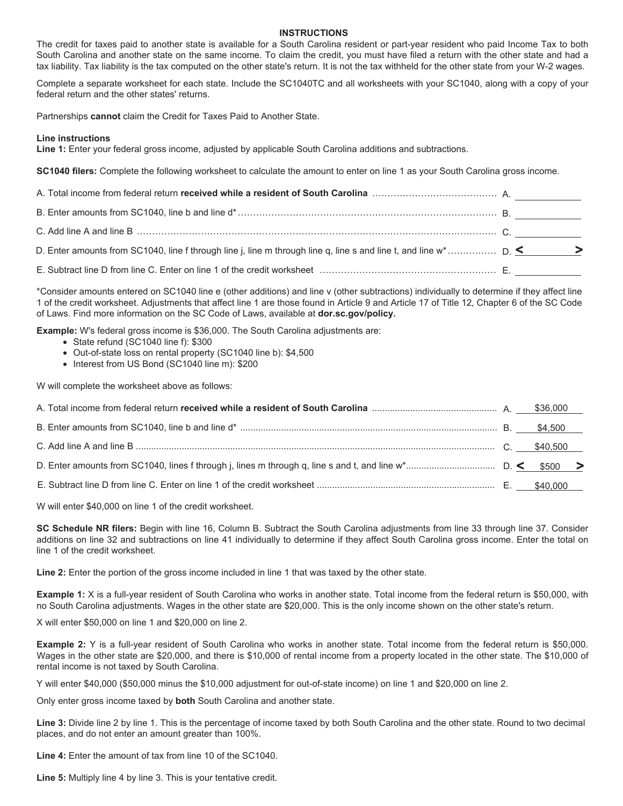#### **INSTRUCTIONS**

The credit for taxes paid to another state is available for a South Carolina resident or part-year resident who paid Income Tax to both South Carolina and another state on the same income. To claim the credit, you must have filed a return with the other state and had a tax liability. Tax liability is the tax computed on the other state's return. It is not the tax withheld for the other state from your W-2 wages.

Complete a separate worksheet for each state. Include the SC1040TC and all worksheets with your SC1040, along with a copy of your federal return and the other states' returns.

Partnerships **cannot** claim the Credit for Taxes Paid to Another State.

#### **Line instructions**

**Line 1:** Enter your federal gross income, adjusted by applicable South Carolina additions and subtractions.

**SC1040 filers:** Complete the following worksheet to calculate the amount to enter on line 1 as your South Carolina gross income.

\*Consider amounts entered on SC1040 line e (other additions) and line v (other subtractions) individually to determine if they affect line 1 of the credit worksheet. Adjustments that affect line 1 are those found in Article 9 and Article 17 of Title 12, Chapter 6 of the SC Code of Laws. Find more information on the SC Code of Laws, available at **dor.sc.gov/policy.**

**Example:** W's federal gross income is \$36,000. The South Carolina adjustments are:

- State refund (SC1040 line f): \$300
- Out-of-state loss on rental property (SC1040 line b): \$4,500
- Interest from US Bond (SC1040 line m): \$200

W will complete the worksheet above as follows:

W will enter \$40,000 on line 1 of the credit worksheet.

**SC Schedule NR filers:** Begin with line 16, Column B. Subtract the South Carolina adjustments from line 33 through line 37. Consider additions on line 32 and subtractions on line 41 individually to determine if they affect South Carolina gross income. Enter the total on line 1 of the credit worksheet.

**Line 2:** Enter the portion of the gross income included in line 1 that was taxed by the other state.

**Example 1:** X is a full-year resident of South Carolina who works in another state. Total income from the federal return is \$50,000, with no South Carolina adjustments. Wages in the other state are \$20,000. This is the only income shown on the other state's return.

X will enter \$50,000 on line 1 and \$20,000 on line 2.

**Example 2:** Y is a full-year resident of South Carolina who works in another state. Total income from the federal return is \$50,000. Wages in the other state are \$20,000, and there is \$10,000 of rental income from a property located in the other state. The \$10,000 of rental income is not taxed by South Carolina.

Y will enter \$40,000 (\$50,000 minus the \$10,000 adjustment for out-of-state income) on line 1 and \$20,000 on line 2.

Only enter gross income taxed by **both** South Carolina and another state.

**Line 3:** Divide line 2 by line 1. This is the percentage of income taxed by both South Carolina and the other state. Round to two decimal places, and do not enter an amount greater than 100%.

**Line 4:** Enter the amount of tax from line 10 of the SC1040.

**Line 5:** Multiply line 4 by line 3. This is your tentative credit.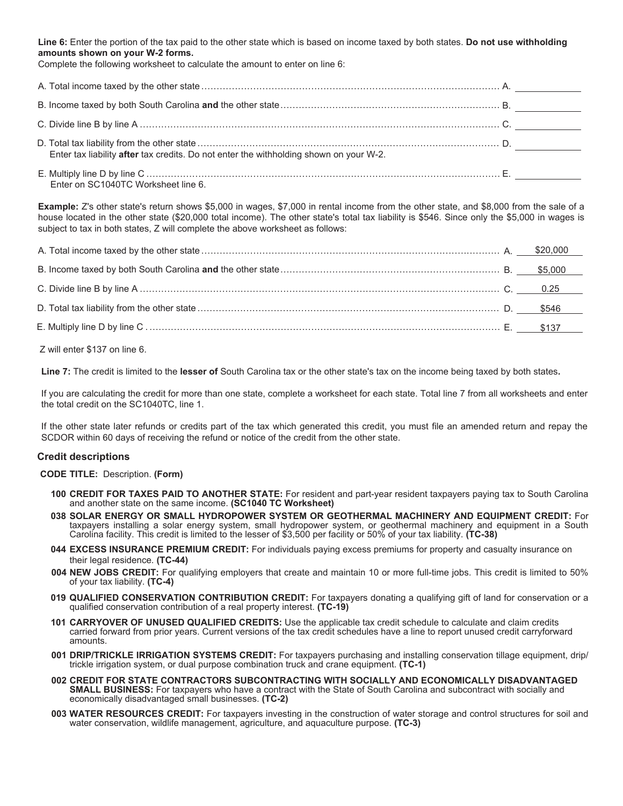**Line 6:** Enter the portion of the tax paid to the other state which is based on income taxed by both states. **Do not use withholding amounts shown on your W-2 forms.** 

Complete the following worksheet to calculate the amount to enter on line 6:

| Enter tax liability after tax credits. Do not enter the withholding shown on your W-2. |  |
|----------------------------------------------------------------------------------------|--|
|                                                                                        |  |

Enter on SC1040TC Worksheet line 6.

**Example:** Z's other state's return shows \$5,000 in wages, \$7,000 in rental income from the other state, and \$8,000 from the sale of a house located in the other state (\$20,000 total income). The other state's total tax liability is \$546. Since only the \$5,000 in wages is subject to tax in both states, Z will complete the above worksheet as follows:

Z will enter \$137 on line 6.

**Line 7:** The credit is limited to the **lesser of** South Carolina tax or the other state's tax on the income being taxed by both states**.** 

If you are calculating the credit for more than one state, complete a worksheet for each state. Total line 7 from all worksheets and enter the total credit on the SC1040TC, line 1.

If the other state later refunds or credits part of the tax which generated this credit, you must file an amended return and repay the SCDOR within 60 days of receiving the refund or notice of the credit from the other state.

### **Credit descriptions**

**CODE TITLE:** Description. **(Form)**

- **100 CREDIT FOR TAXES PAID TO ANOTHER STATE:** For resident and part-year resident taxpayers paying tax to South Carolina and another state on the same income. **(SC1040 TC Worksheet)**
- **038 SOLAR ENERGY OR SMALL HYDROPOWER SYSTEM OR GEOTHERMAL MACHINERY AND EQUIPMENT CREDIT:** For taxpayers installing a solar energy system, small hydropower system, or geothermal machinery and equipment in a South Carolina facility. This credit is limited to the lesser of \$3,500 per facility or 50% of your tax liability. **(TC-38)**
- **044 EXCESS INSURANCE PREMIUM CREDIT:** For individuals paying excess premiums for property and casualty insurance on their legal residence. **(TC-44)**
- **004 NEW JOBS CREDIT:** For qualifying employers that create and maintain 10 or more full-time jobs. This credit is limited to 50% of your tax liability. **(TC-4)**
- **019 QUALIFIED CONSERVATION CONTRIBUTION CREDIT:** For taxpayers donating a qualifying gift of land for conservation or a qualified conservation contribution of a real property interest. **(TC-19)** 
	- **101 CARRYOVER OF UNUSED QUALIFIED CREDITS:** Use the applicable tax credit schedule to calculate and claim credits carried forward from prior years. Current versions of the tax credit schedules have a line to report unused credit carryforward amounts.
	- **001 DRIP/TRICKLE IRRIGATION SYSTEMS CREDIT:** For taxpayers purchasing and installing conservation tillage equipment, drip/ trickle irrigation system, or dual purpose combination truck and crane equipment. **(TC-1)**
	- **002 CREDIT FOR STATE CONTRACTORS SUBCONTRACTING WITH SOCIALLY AND ECONOMICALLY DISADVANTAGED SMALL BUSINESS:** For taxpayers who have a contract with the State of South Carolina and subcontract with socially and economically disadvantaged small businesses. **(TC-2)**
	- **003 WATER RESOURCES CREDIT:** For taxpayers investing in the construction of water storage and control structures for soil and water conservation, wildlife management, agriculture, and aquaculture purpose. **(TC-3)**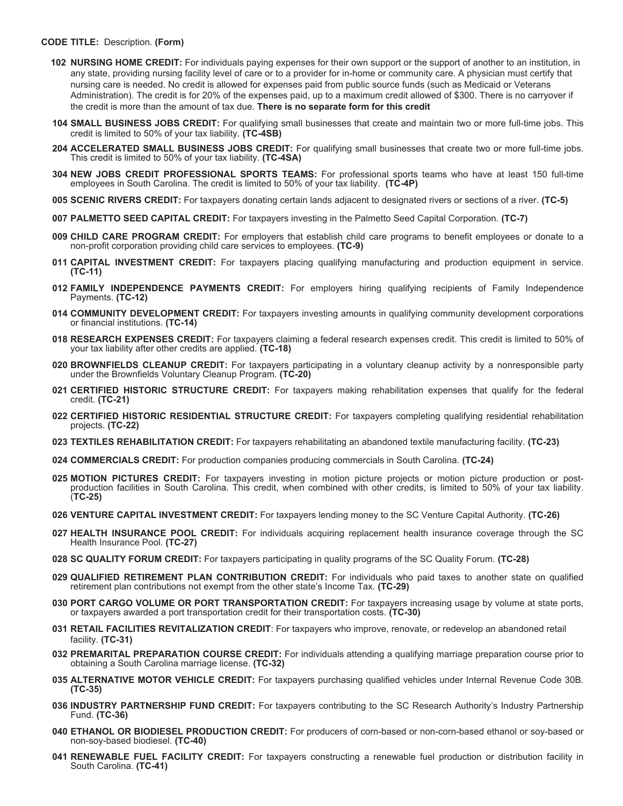#### **CODE TITLE:** Description. **(Form)**

- **102 NURSING HOME CREDIT:** For individuals paying expenses for their own support or the support of another to an institution, in any state, providing nursing facility level of care or to a provider for in-home or community care. A physician must certify that nursing care is needed. No credit is allowed for expenses paid from public source funds (such as Medicaid or Veterans Administration). The credit is for 20% of the expenses paid, up to a maximum credit allowed of \$300. There is no carryover if the credit is more than the amount of tax due. **There is no separate form for this credit**
- **104 SMALL BUSINESS JOBS CREDIT:** For qualifying small businesses that create and maintain two or more full-time jobs. This credit is limited to 50% of your tax liability. **(TC-4SB)**
- **204 ACCELERATED SMALL BUSINESS JOBS CREDIT:** For qualifying small businesses that create two or more full-time jobs. This credit is limited to 50% of your tax liability. **(TC-4SA)**
- **304 NEW JOBS CREDIT PROFESSIONAL SPORTS TEAMS:** For professional sports teams who have at least 150 full-time employees in South Carolina. The credit is limited to 50% of your tax liability. **(TC-4P)**
- **005 SCENIC RIVERS CREDIT:** For taxpayers donating certain lands adjacent to designated rivers or sections of a river. **(TC-5)**
- **007 PALMETTO SEED CAPITAL CREDIT:** For taxpayers investing in the Palmetto Seed Capital Corporation. **(TC-7)**
- **009 CHILD CARE PROGRAM CREDIT:** For employers that establish child care programs to benefit employees or donate to a non-profit corporation providing child care services to employees. **(TC-9)**
- **011 CAPITAL INVESTMENT CREDIT:** For taxpayers placing qualifying manufacturing and production equipment in service. **(TC-11)**
- **012 FAMILY INDEPENDENCE PAYMENTS CREDIT:** For employers hiring qualifying recipients of Family Independence Payments. **(TC-12)**
- **014 COMMUNITY DEVELOPMENT CREDIT:** For taxpayers investing amounts in qualifying community development corporations or financial institutions. **(TC-14)**
- **018 RESEARCH EXPENSES CREDIT:** For taxpayers claiming a federal research expenses credit. This credit is limited to 50% of your tax liability after other credits are applied. **(TC-18)**
- **020 BROWNFIELDS CLEANUP CREDIT:** For taxpayers participating in a voluntary cleanup activity by a nonresponsible party under the Brownfields Voluntary Cleanup Program. **(TC-20)**
- **021 CERTIFIED HISTORIC STRUCTURE CREDIT:** For taxpayers making rehabilitation expenses that qualify for the federal credit. **(TC-21)**
- **022 CERTIFIED HISTORIC RESIDENTIAL STRUCTURE CREDIT:** For taxpayers completing qualifying residential rehabilitation projects. **(TC-22)**
- **023 TEXTILES REHABILITATION CREDIT:** For taxpayers rehabilitating an abandoned textile manufacturing facility. **(TC-23)**
- **024 COMMERCIALS CREDIT:** For production companies producing commercials in South Carolina. **(TC-24)**
- **025 MOTION PICTURES CREDIT:** For taxpayers investing in motion picture projects or motion picture production or postproduction facilities in South Carolina. This credit, when combined with other credits, is limited to 50% of your tax liability. (**TC-25)**
- **026 VENTURE CAPITAL INVESTMENT CREDIT:** For taxpayers lending money to the SC Venture Capital Authority. **(TC-26)**
- **027 HEALTH INSURANCE POOL CREDIT:** For individuals acquiring replacement health insurance coverage through the SC Health Insurance Pool. **(TC-27)**
- **028 SC QUALITY FORUM CREDIT:** For taxpayers participating in quality programs of the SC Quality Forum. **(TC-28)**
- **029 QUALIFIED RETIREMENT PLAN CONTRIBUTION CREDIT:** For individuals who paid taxes to another state on qualified retirement plan contributions not exempt from the other state's Income Tax. **(TC-29)**
- **030 PORT CARGO VOLUME OR PORT TRANSPORTATION CREDIT:** For taxpayers increasing usage by volume at state ports, or taxpayers awarded a port transportation credit for their transportation costs. **(TC-30)**
- **031 RETAIL FACILITIES REVITALIZATION CREDIT**: For taxpayers who improve, renovate, or redevelop an abandoned retail facility. **(TC-31)**
- **032 PREMARITAL PREPARATION COURSE CREDIT:** For individuals attending a qualifying marriage preparation course prior to obtaining a South Carolina marriage license. **(TC-32)**
- **035 ALTERNATIVE MOTOR VEHICLE CREDIT:** For taxpayers purchasing qualified vehicles under Internal Revenue Code 30B. **(TC-35)**
- **036 INDUSTRY PARTNERSHIP FUND CREDIT:** For taxpayers contributing to the SC Research Authority's Industry Partnership Fund. **(TC-36)**
- **040 ETHANOL OR BIODIESEL PRODUCTION CREDIT:** For producers of corn-based or non-corn-based ethanol or soy-based or non-soy-based biodiesel. **(TC-40)**
- **041 RENEWABLE FUEL FACILITY CREDIT:** For taxpayers constructing a renewable fuel production or distribution facility in South Carolina. **(TC-41)**